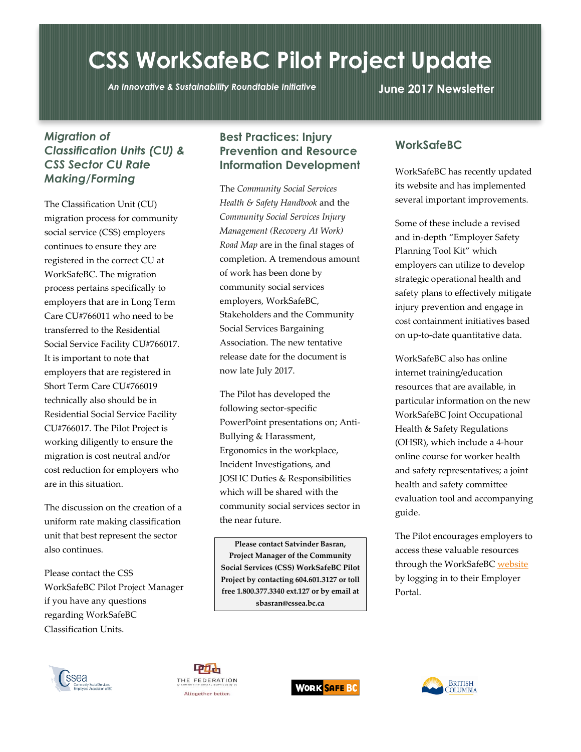# **CSS WorkSafeBC Pilot Project Update**

*An Innovative & Sustainability Roundtable Initiative* **June 2017 Newsletter**

#### *Migration of Classification Units (CU) & CSS Sector CU Rate Making/Forming*

The Classification Unit (CU) migration process for community social service (CSS) employers continues to ensure they are registered in the correct CU at WorkSafeBC. The migration process pertains specifically to employers that are in Long Term Care CU#766011 who need to be transferred to the Residential Social Service Facility CU#766017. It is important to note that employers that are registered in Short Term Care CU#766019 technically also should be in Residential Social Service Facility CU#766017. The Pilot Project is working diligently to ensure the migration is cost neutral and/or cost reduction for employers who are in this situation.

The discussion on the creation of a uniform rate making classification unit that best represent the sector also continues.

Please contact the CSS WorkSafeBC Pilot Project Manager if you have any questions regarding WorkSafeBC Classification Units.

## **Best Practices: Injury Prevention and Resource Information Development**

The *Community Social Services Health & Safety Handbook* and the *Community Social Services Injury Management (Recovery At Work) Road Map* are in the final stages of completion. A tremendous amount of work has been done by community social services employers, WorkSafeBC, Stakeholders and the Community Social Services Bargaining Association. The new tentative release date for the document is now late July 2017.

The Pilot has developed the following sector-specific PowerPoint presentations on; Anti-Bullying & Harassment, Ergonomics in the workplace, Incident Investigations, and JOSHC Duties & Responsibilities which will be shared with the community social services sector in the near future.

**Please contact Satvinder Basran, Project Manager of the Community Social Services (CSS) WorkSafeBC Pilot Project by contacting 604.601.3127 or toll free 1.800.377.3340 ext.127 or by email at sbasran@cssea.bc.ca**

## **WorkSafeBC**

WorkSafeBC has recently updated its website and has implemented several important improvements.

Some of these include a revised and in-depth "Employer Safety Planning Tool Kit" which employers can utilize to develop strategic operational health and safety plans to effectively mitigate injury prevention and engage in cost containment initiatives based on up-to-date quantitative data.

WorkSafeBC also has online internet training/education resources that are available, in particular information on the new WorkSafeBC Joint Occupational Health & Safety Regulations (OHSR), which include a 4-hour online course for worker health and safety representatives; a joint health and safety committee evaluation tool and accompanying guide.

The Pilot encourages employers to access these valuable resources through the WorkSafeB[C website](https://online.worksafebc.com/siteminderagent/forms/login-wsbc.fcc?TYPE=33554433&REALMOID=06-b60d5354-c2d3-495e-973e-2f39e3a395a0&GUID=&SMAUTHREASON=0&METHOD=GET&SMAGENTNAME=-SM-fEoVGCVUAG%2fwWX8r5%2b1Msxv1WfTiL%2fwx7X8RW5cEBHAcSjB80uplHm4xGGuuttEnqIqZUzR5Jy9DO9%2fK8mli4L4NOX%2fEmCOA&TARGET=-SM-HTTPS%3a%2f%2fonline%2eworksafebc%2ecom%2fop%3f_ga%3d2%2e233154717%2e2084085515%2e1498672724--1798498063%2e1498672724) by logging in to their Employer Portal.